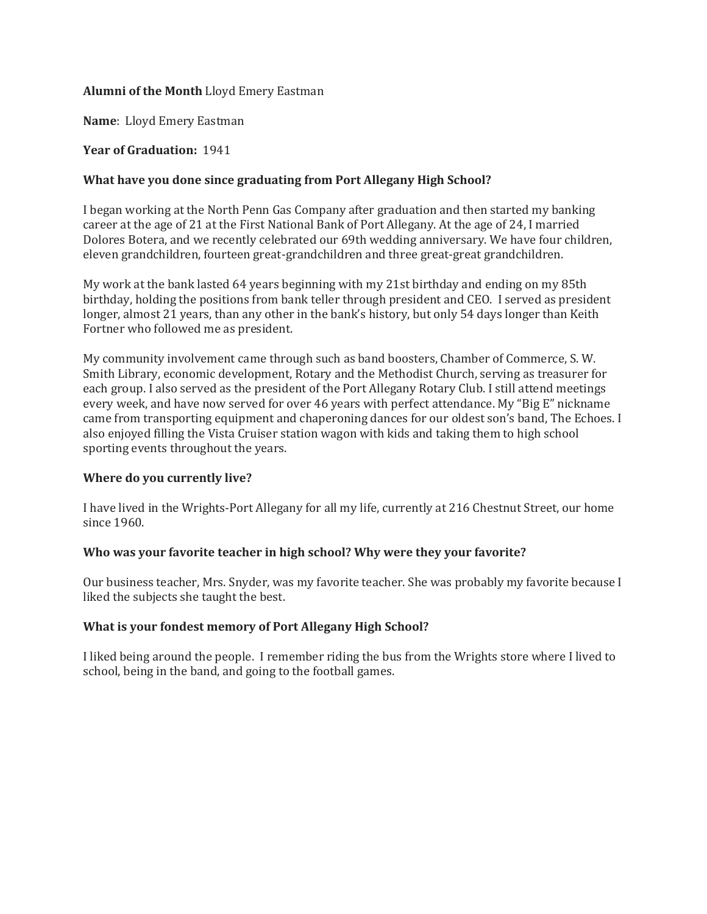## **Alumni of the Month** Lloyd Emery Eastman

**Name**: Lloyd Emery Eastman

### **Year of Graduation:** 1941

## **What have you done since graduating from Port Allegany High School?**

I began working at the North Penn Gas Company after graduation and then started my banking career at the age of 21 at the First National Bank of Port Allegany. At the age of 24, I married Dolores Botera, and we recently celebrated our 69th wedding anniversary. We have four children, eleven grandchildren, fourteen great-grandchildren and three great-great grandchildren.

My work at the bank lasted 64 years beginning with my 21st birthday and ending on my 85th birthday, holding the positions from bank teller through president and CEO. I served as president longer, almost 21 years, than any other in the bank's history, but only 54 days longer than Keith Fortner who followed me as president.

My community involvement came through such as band boosters, Chamber of Commerce, S. W. Smith Library, economic development, Rotary and the Methodist Church, serving as treasurer for each group. I also served as the president of the Port Allegany Rotary Club. I still attend meetings every week, and have now served for over 46 years with perfect attendance. My "Big E" nickname came from transporting equipment and chaperoning dances for our oldest son's band, The Echoes. I also enjoyed filling the Vista Cruiser station wagon with kids and taking them to high school sporting events throughout the years.

#### **Where do you currently live?**

I have lived in the Wrights-Port Allegany for all my life, currently at 216 Chestnut Street, our home since 1960.

# **Who was your favorite teacher in high school? Why were they your favorite?**

Our business teacher, Mrs. Snyder, was my favorite teacher. She was probably my favorite because I liked the subjects she taught the best.

#### **What is your fondest memory of Port Allegany High School?**

I liked being around the people. I remember riding the bus from the Wrights store where I lived to school, being in the band, and going to the football games.